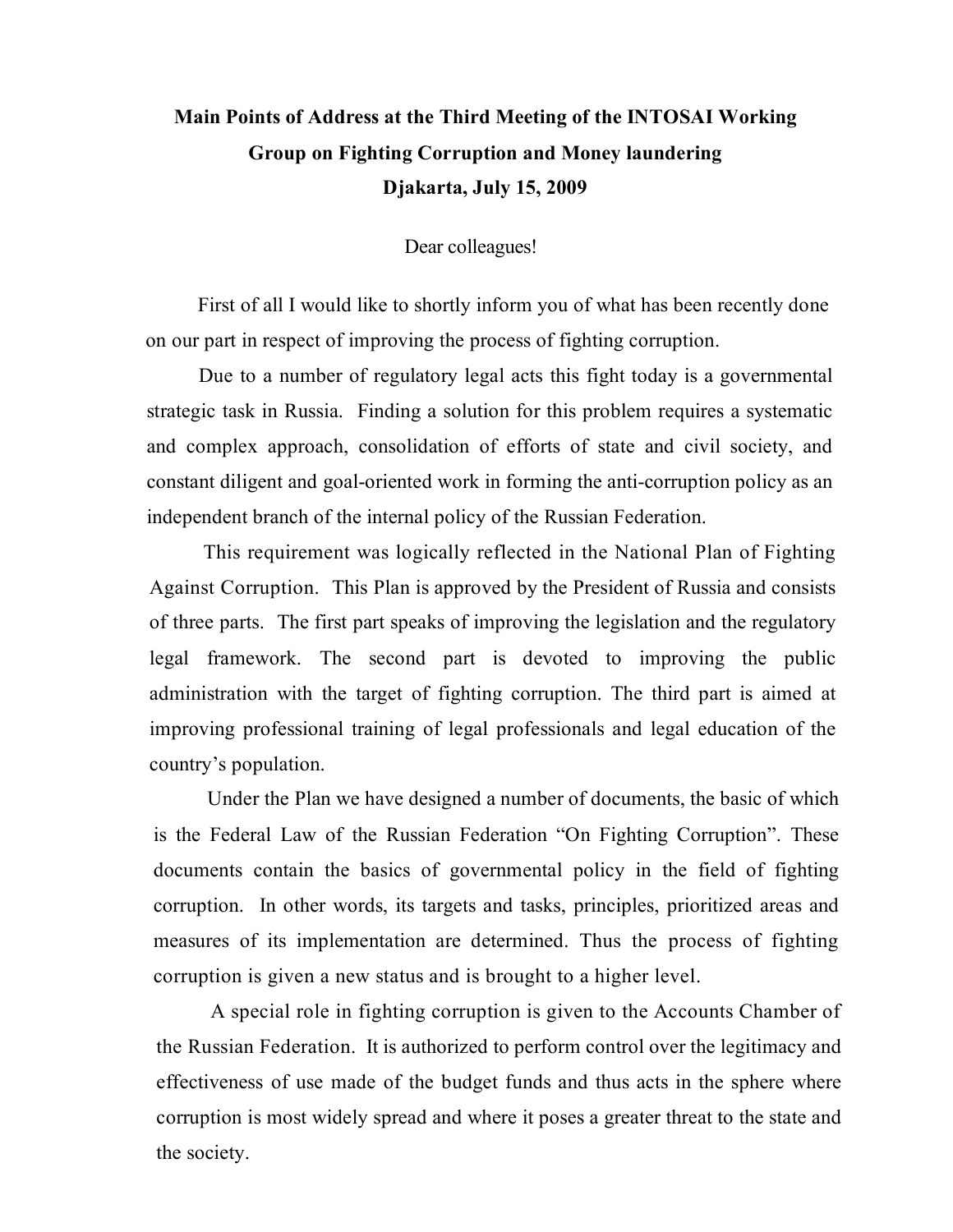## **Main Points of Address at the Third Meeting of the INTOSAI Working Group on Fighting Corruption and Money laundering Djakarta, July 15, 2009**

Dear colleagues!

First of all I would like to shortly inform you of what has been recently done on our part in respect of improving the process of fighting corruption.

Due to a number of regulatory legal acts this fight today is a governmental strategic task in Russia. Finding a solution for this problem requires a systematic and complex approach, consolidation of efforts of state and civil society, and constant diligent and goal-oriented work in forming the anti-corruption policy as an independent branch of the internal policy of the Russian Federation.

This requirement was logically reflected in the National Plan of Fighting Against Corruption. This Plan is approved by the President of Russia and consists of three parts. The first part speaks of improving the legislation and the regulatory legal framework. The second part is devoted to improving the public administration with the target of fighting corruption. The third part is aimed at improving professional training of legal professionals and legal education of the country's population.

Under the Plan we have designed a number of documents, the basic of which is the Federal Law of the Russian Federation "On Fighting Corruption". These documents contain the basics of governmental policy in the field of fighting corruption. In other words, its targets and tasks, principles, prioritized areas and measures of its implementation are determined. Thus the process of fighting corruption is given a new status and is brought to a higher level.

A special role in fighting corruption is given to the Accounts Chamber of the Russian Federation. It is authorized to perform control over the legitimacy and effectiveness of use made of the budget funds and thus acts in the sphere where corruption is most widely spread and where it poses a greater threat to the state and the society.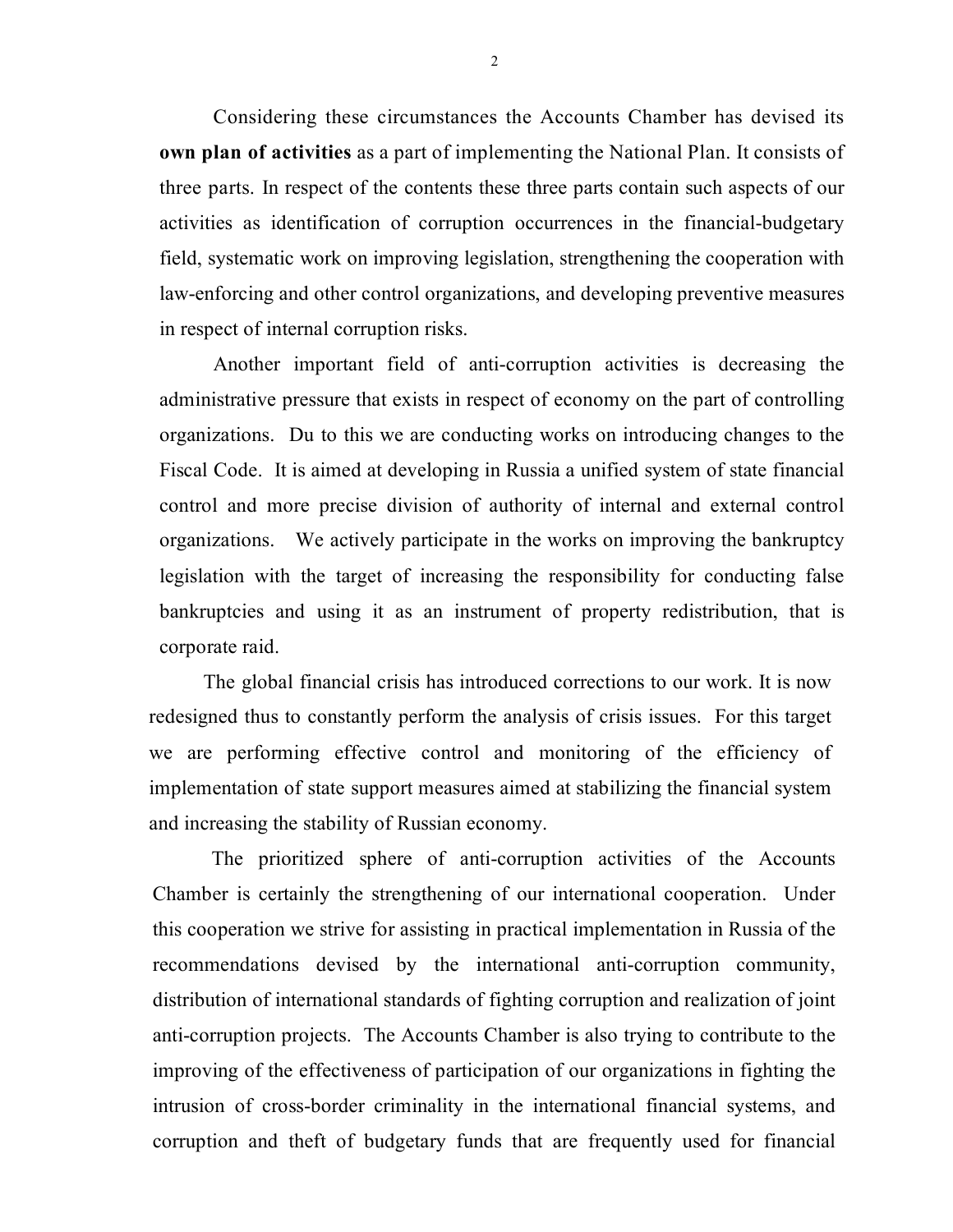Considering these circumstances the Accounts Chamber has devised its **own plan of activities** as a part of implementing the National Plan. It consists of three parts. In respect of the contents these three parts contain such aspects of our activities as identification of corruption occurrences in the financial-budgetary field, systematic work on improving legislation, strengthening the cooperation with law-enforcing and other control organizations, and developing preventive measures in respect of internal corruption risks.

Another important field of anti-corruption activities is decreasing the administrative pressure that exists in respect of economy on the part of controlling organizations. Du to this we are conducting works on introducing changes to the Fiscal Code. It is aimed at developing in Russia a unified system of state financial control and more precise division of authority of internal and external control organizations. We actively participate in the works on improving the bankruptcy legislation with the target of increasing the responsibility for conducting false bankruptcies and using it as an instrument of property redistribution, that is corporate raid.

The global financial crisis has introduced corrections to our work. It is now redesigned thus to constantly perform the analysis of crisis issues. For this target we are performing effective control and monitoring of the efficiency of implementation of state support measures aimed at stabilizing the financial system and increasing the stability of Russian economy.

The prioritized sphere of anti-corruption activities of the Accounts Chamber is certainly the strengthening of our international cooperation. Under this cooperation we strive for assisting in practical implementation in Russia of the recommendations devised by the international anti-corruption community, distribution of international standards of fighting corruption and realization of joint anti-corruption projects. The Accounts Chamber is also trying to contribute to the improving of the effectiveness of participation of our organizations in fighting the intrusion of cross-border criminality in the international financial systems, and corruption and theft of budgetary funds that are frequently used for financial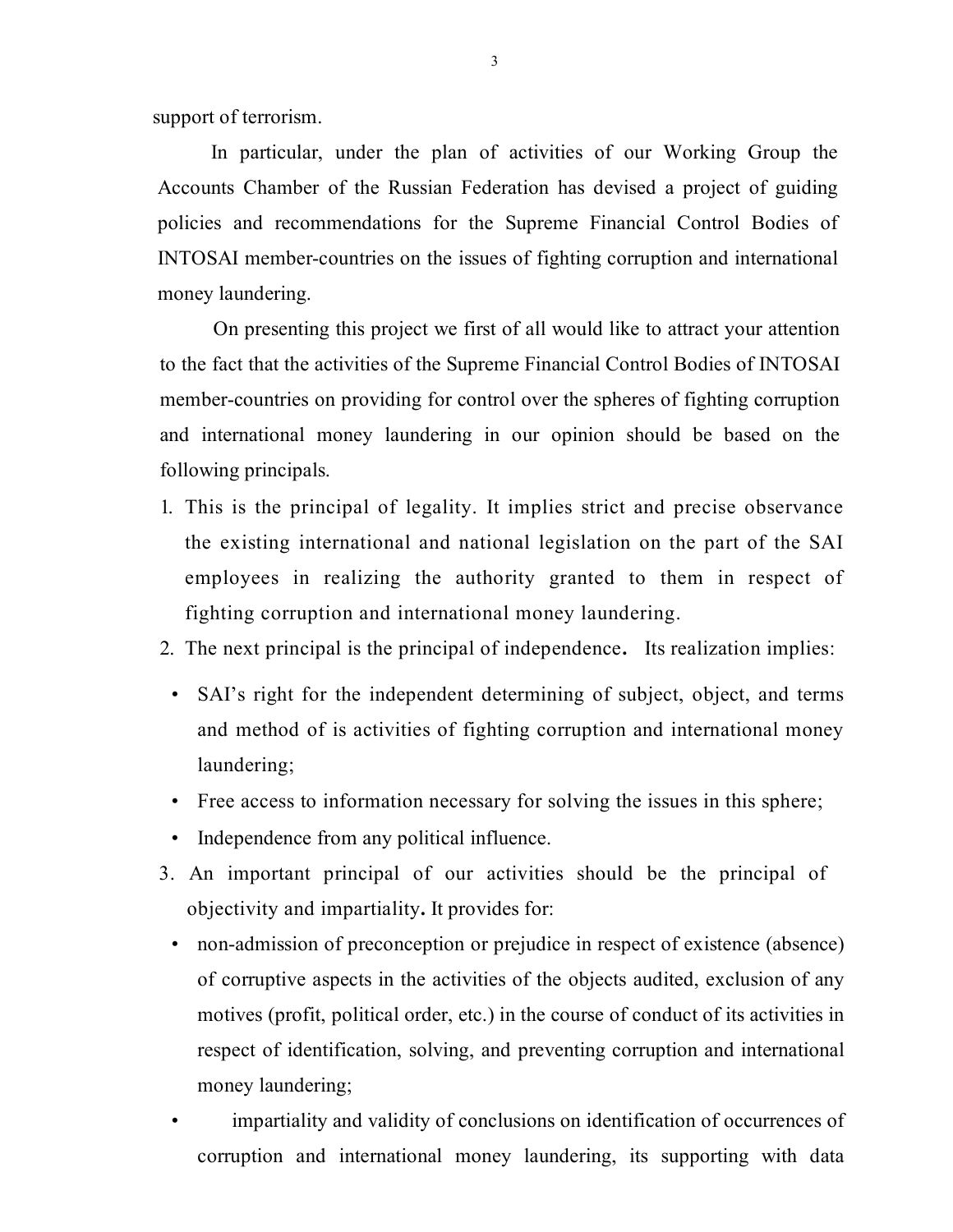support of terrorism.

In particular, under the plan of activities of our Working Group the Accounts Chamber of the Russian Federation has devised a project of guiding policies and recommendations for the Supreme Financial Control Bodies of INTOSAI member-countries on the issues of fighting corruption and international money laundering.

On presenting this project we first of all would like to attract your attention to the fact that the activities of the Supreme Financial Control Bodies of INTOSAI member-countries on providing for control over the spheres of fighting corruption and international money laundering in our opinion should be based on the following principals.

- 1. This is the principal of legality. It implies strict and precise observance the existing international and national legislation on the part of the SAI employees in realizing the authority granted to them in respect of fighting corruption and international money laundering.
- 2. The next principal is the principal of independence**.** Its realization implies:
- SAI's right for the independent determining of subject, object, and terms and method of is activities of fighting corruption and international money laundering;
- Free access to information necessary for solving the issues in this sphere;
- Independence from any political influence.
- 3. An important principal of our activities should be the principal of objectivity and impartiality**.** It provides for:
	- non-admission of preconception or prejudice in respect of existence (absence) of corruptive aspects in the activities of the objects audited, exclusion of any motives (profit, political order, etc.) in the course of conduct of its activities in respect of identification, solving, and preventing corruption and international money laundering;
	- impartiality and validity of conclusions on identification of occurrences of corruption and international money laundering, its supporting with data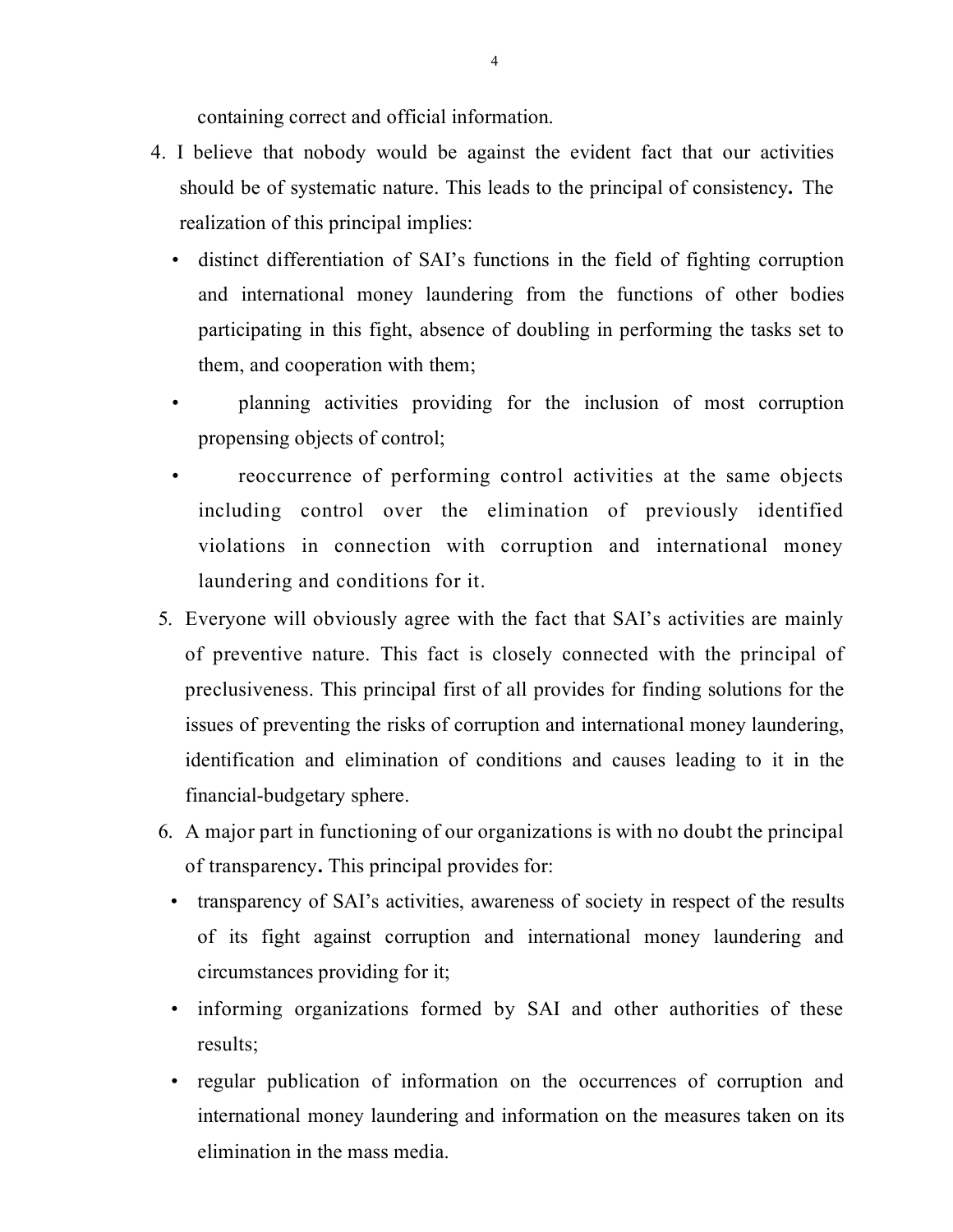containing correct and official information.

- 4. I believe that nobody would be against the evident fact that our activities should be of systematic nature. This leads to the principal of consistency**.** The realization of this principal implies:
	- distinct differentiation of SAI's functions in the field of fighting corruption and international money laundering from the functions of other bodies participating in this fight, absence of doubling in performing the tasks set to them, and cooperation with them;
	- planning activities providing for the inclusion of most corruption propensing objects of control;
	- reoccurrence of performing control activities at the same objects including control over the elimination of previously identified violations in connection with corruption and international money laundering and conditions for it.
- 5. Everyone will obviously agree with the fact that SAI's activities are mainly of preventive nature. This fact is closely connected with the principal of preclusiveness. This principal first of all provides for finding solutions for the issues of preventing the risks of corruption and international money laundering, identification and elimination of conditions and causes leading to it in the financial-budgetary sphere.
- 6. A major part in functioning of our organizations is with no doubt the principal of transparency**.** This principal provides for:
	- transparency of SAI's activities, awareness of society in respect of the results of its fight against corruption and international money laundering and circumstances providing for it;
	- informing organizations formed by SAI and other authorities of these results;
	- regular publication of information on the occurrences of corruption and international money laundering and information on the measures taken on its elimination in the mass media.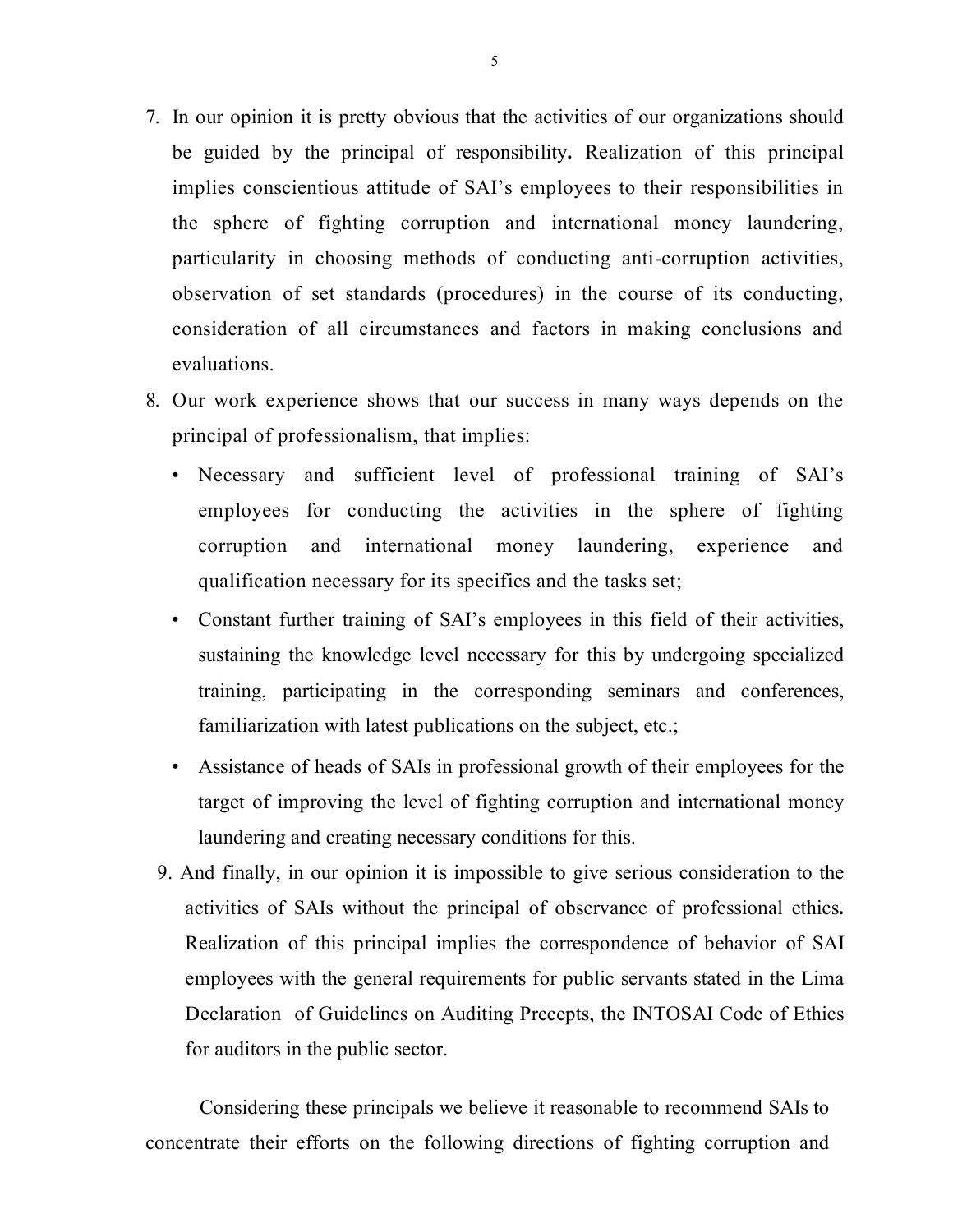- 7. In our opinion it is pretty obvious that the activities of our organizations should be guided by the principal of responsibility**.** Realization of this principal implies conscientious attitude of SAI's employees to their responsibilities in the sphere of fighting corruption and international money laundering, particularity in choosing methods of conducting anti-corruption activities, observation of set standards (procedures) in the course of its conducting, consideration of all circumstances and factors in making conclusions and evaluations.
- 8. Our work experience shows that our success in many ways depends on the principal of professionalism, that implies:
	- Necessary and sufficient level of professional training of SAI's employees for conducting the activities in the sphere of fighting corruption and international money laundering, experience and qualification necessary for its specifics and the tasks set;
	- Constant further training of SAI's employees in this field of their activities, sustaining the knowledge level necessary for this by undergoing specialized training, participating in the corresponding seminars and conferences, familiarization with latest publications on the subject, etc.;
	- Assistance of heads of SAIs in professional growth of their employees for the target of improving the level of fighting corruption and international money laundering and creating necessary conditions for this.
	- 9. And finally, in our opinion it is impossible to give serious consideration to the activities of SAIs without the principal of observance of professional ethics**.** Realization of this principal implies the correspondence of behavior of SAI employees with the general requirements for public servants stated in the Lima Declaration of Guidelines on Auditing Precepts, the INTOSAI Code of Ethics for auditors in the public sector.

Considering these principals we believe it reasonable to recommend SAIs to concentrate their efforts on the following directions of fighting corruption and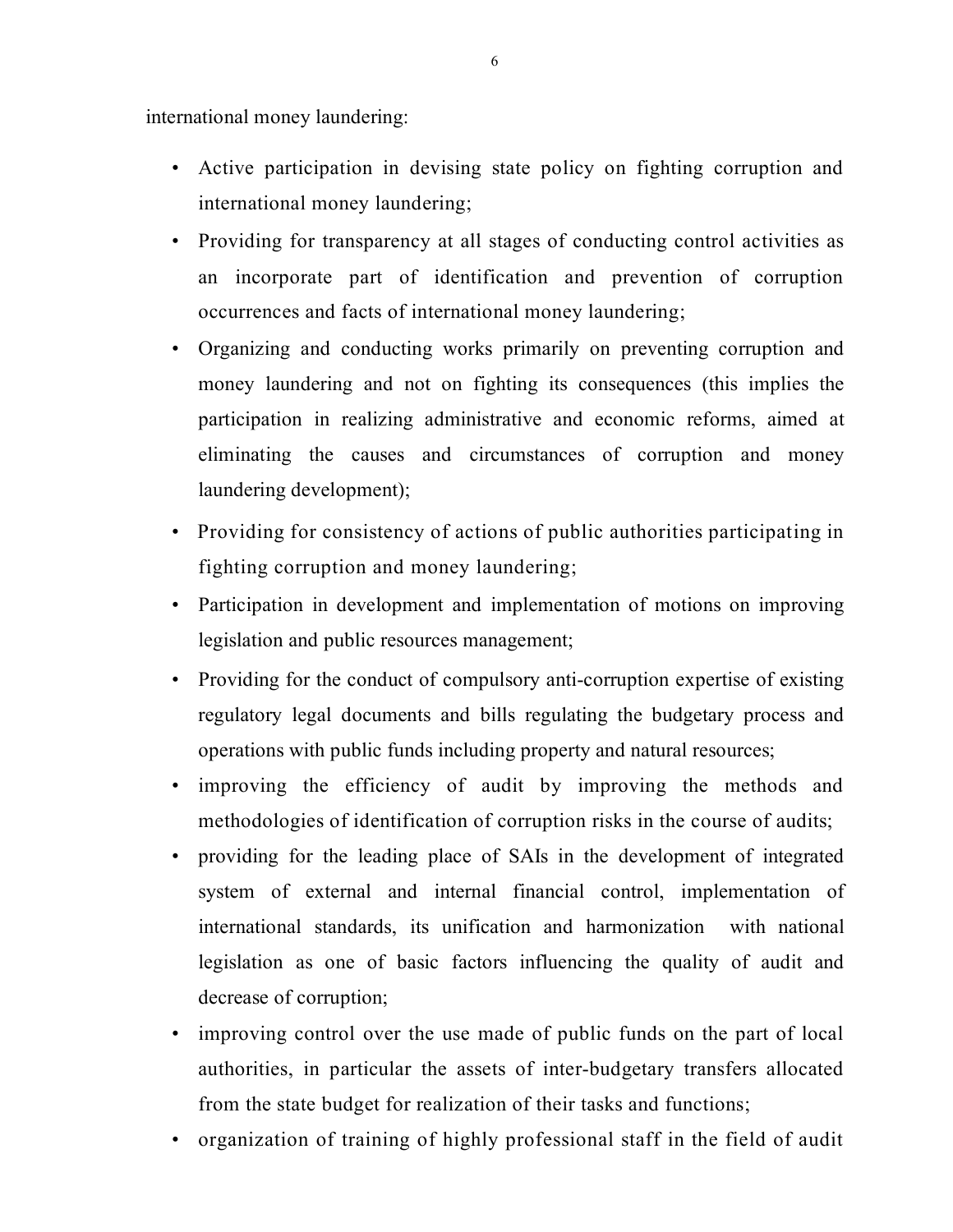international money laundering:

- Active participation in devising state policy on fighting corruption and international money laundering;
- Providing for transparency at all stages of conducting control activities as an incorporate part of identification and prevention of corruption occurrences and facts of international money laundering;
- Organizing and conducting works primarily on preventing corruption and money laundering and not on fighting its consequences (this implies the participation in realizing administrative and economic reforms, aimed at eliminating the causes and circumstances of corruption and money laundering development);
- Providing for consistency of actions of public authorities participating in fighting corruption and money laundering;
- Participation in development and implementation of motions on improving legislation and public resources management;
- Providing for the conduct of compulsory anti-corruption expertise of existing regulatory legal documents and bills regulating the budgetary process and operations with public funds including property and natural resources;
- improving the efficiency of audit by improving the methods and methodologies of identification of corruption risks in the course of audits;
- providing for the leading place of SAIs in the development of integrated system of external and internal financial control, implementation of international standards, its unification and harmonization with national legislation as one of basic factors influencing the quality of audit and decrease of corruption;
- improving control over the use made of public funds on the part of local authorities, in particular the assets of inter-budgetary transfers allocated from the state budget for realization of their tasks and functions;
- organization of training of highly professional staff in the field of audit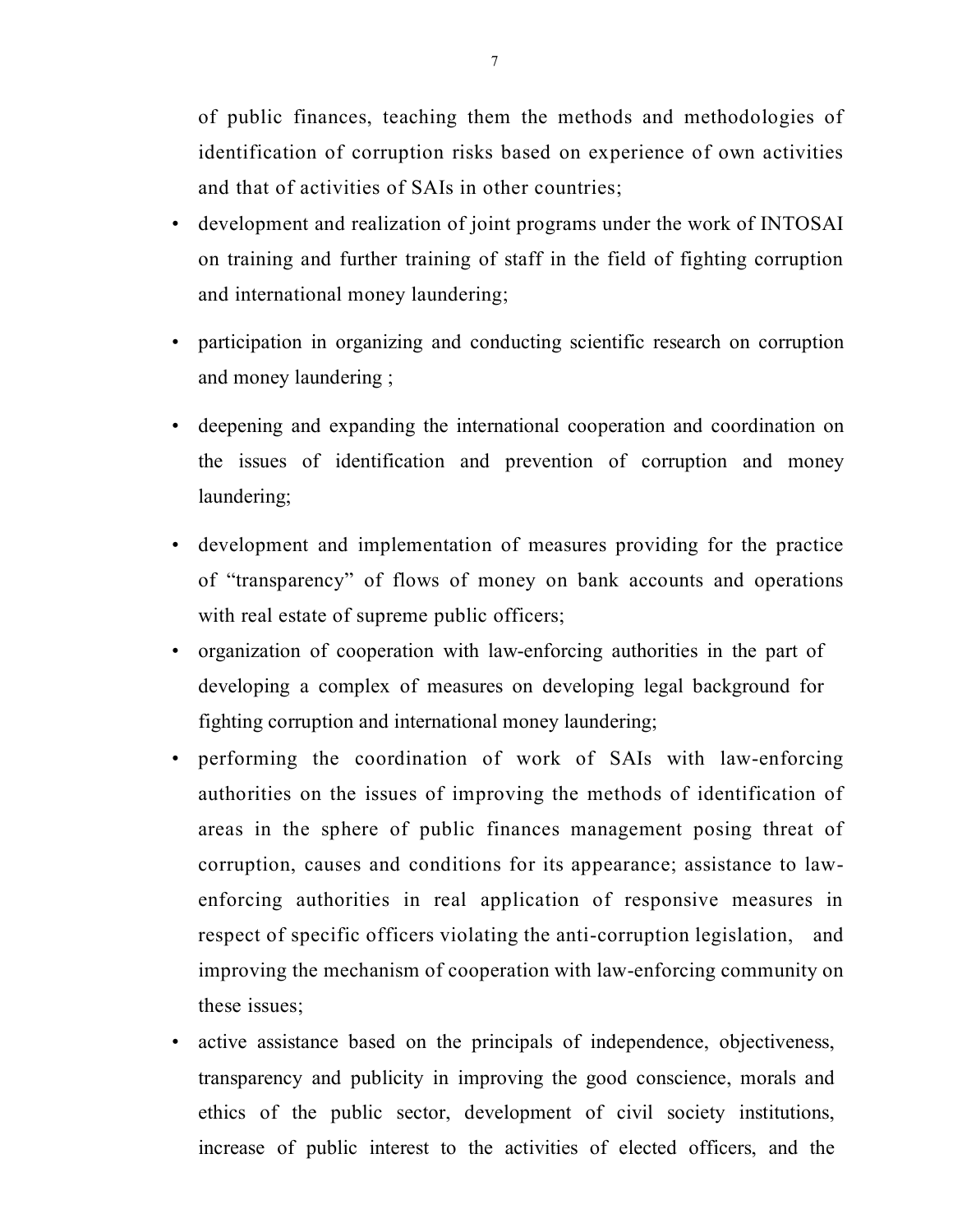of public finances, teaching them the methods and methodologies of identification of corruption risks based on experience of own activities and that of activities of SAIs in other countries;

- development and realization of joint programs under the work of INTOSAI on training and further training of staff in the field of fighting corruption and international money laundering;
- participation in organizing and conducting scientific research on corruption and money laundering ;
- deepening and expanding the international cooperation and coordination on the issues of identification and prevention of corruption and money laundering;
- development and implementation of measures providing for the practice of "transparency" of flows of money on bank accounts and operations with real estate of supreme public officers;
- organization of cooperation with law-enforcing authorities in the part of developing a complex of measures on developing legal background for fighting corruption and international money laundering;
- performing the coordination of work of SAIs with law-enforcing authorities on the issues of improving the methods of identification of areas in the sphere of public finances management posing threat of corruption, causes and conditions for its appearance; assistance to lawenforcing authorities in real application of responsive measures in respect of specific officers violating the anti-corruption legislation, and improving the mechanism of cooperation with law-enforcing community on these issues;
- active assistance based on the principals of independence, objectiveness, transparency and publicity in improving the good conscience, morals and ethics of the public sector, development of civil society institutions, increase of public interest to the activities of elected officers, and the